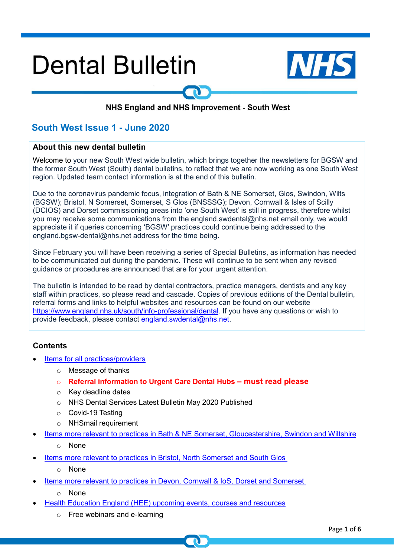# **Dental Bulletin**



#### NHS England and NHS Improvement - South West

### **South West Issue 1 - June 2020**

#### **About this new dental bulletin**

Welcome to your new South West wide bulletin, which brings together the newsletters for BGSW and the former South West (South) dental bulletins, to reflect that we are now working as one South West region. Updated team contact information is at the end of this bulletin.

Due to the coronavirus pandemic focus, integration of Bath & NE Somerset, Glos, Swindon, Wilts (BGSW); Bristol, N Somerset, Somerset, S Glos (BNSSSG); Devon, Cornwall & Isles of Scilly (DCIOS) and Dorset commissioning areas into 'one South West' is still in progress, therefore whilst you may receive some communications from the england.swdental@nhs.net email only, we would appreciate it if queries concerning 'BGSW' practices could continue being addressed to the england.bgsw-dental@nhs.net address for the time being.

Since February you will have been receiving a series of Special Bulletins, as information has needed to be communicated out during the pandemic. These will continue to be sent when any revised guidance or procedures are announced that are for your urgent attention.

The bulletin is intended to be read by dental contractors, practice managers, dentists and any key staff within practices, so please read and cascade. Copies of previous editions of the Dental bulletin, referral forms and links to helpful websites and resources can be found on our website [https://www.england.nhs.uk/south/info-professional/dental.](https://www.england.nhs.uk/south/info-professional/dental) If you have any questions or wish to provide feedback, please contact [england.swdental@nhs.net.](mailto:england.swdental@nhs.net)

#### <span id="page-0-0"></span>**Contents**

- [Items for all practices/providers](#page-1-0)
	- o Message of thanks
	- o **Referral information to Urgent Care Dental Hubs – must read please**
	- o Key deadline dates
	- o NHS Dental Services Latest Bulletin May 2020 Published
	- o Covid-19 Testing
	- o NHSmail requirement
- Items more relevant to practices in [Bath & NE Somerset, Gloucestershire, Swindon and Wiltshire](#page-3-0)
	- o None
- Items more relevant to practices in [Bristol, North Somerset](#page-3-1) and South Glos
	- o None
- [Items more relevant to](#page-3-2) practices in Devon, Cornwall & IoS, Dorset and Somerset
	- o None
- Health Education England (HEE) upcoming events, courses and resources
	- o Free webinars and e-learning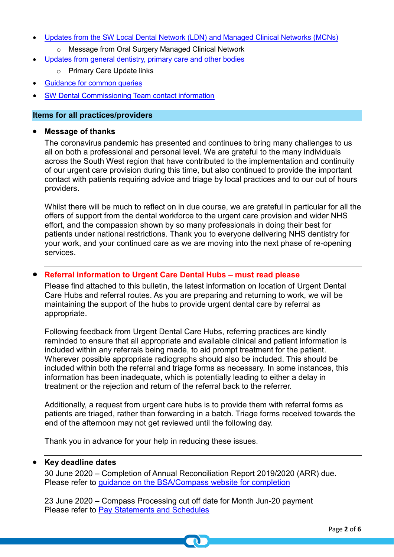- [Updates from the SW Local Dental Network \(LDN\) and Managed Clinical Networks \(MCNs\)](#page-4-0)
	- o Message from Oral Surgery Managed Clinical Network
- Updates from general dentistry, primary care and other bodies
	- o Primary Care Update links
- **[Guidance for common queries](#page-4-1)**
- **SW Dental Commissioning Team contact information**

#### <span id="page-1-0"></span>**Items for all practices/providers**

#### • **Message of thanks**

The coronavirus pandemic has presented and continues to bring many challenges to us all on both a professional and personal level. We are grateful to the many individuals across the South West region that have contributed to the implementation and continuity of our urgent care provision during this time, but also continued to provide the important contact with patients requiring advice and triage by local practices and to our out of hours providers.

Whilst there will be much to reflect on in due course, we are grateful in particular for all the offers of support from the dental workforce to the urgent care provision and wider NHS effort, and the compassion shown by so many professionals in doing their best for patients under national restrictions. Thank you to everyone delivering NHS dentistry for your work, and your continued care as we are moving into the next phase of re-opening services.

#### • **Referral information to Urgent Care Dental Hubs – must read please**

Please find attached to this bulletin, the latest information on location of Urgent Dental Care Hubs and referral routes. As you are preparing and returning to work, we will be maintaining the support of the hubs to provide urgent dental care by referral as appropriate.

Following feedback from Urgent Dental Care Hubs, referring practices are kindly reminded to ensure that all appropriate and available clinical and patient information is included within any referrals being made, to aid prompt treatment for the patient. Wherever possible appropriate radiographs should also be included. This should be included within both the referral and triage forms as necessary. In some instances, this information has been inadequate, which is potentially leading to either a delay in treatment or the rejection and return of the referral back to the referrer.

Additionally, a request from urgent care hubs is to provide them with referral forms as patients are triaged, rather than forwarding in a batch. Triage forms received towards the end of the afternoon may not get reviewed until the following day.

Thank you in advance for your help in reducing these issues.

#### • **Key deadline dates**

30 June 2020 – Completion of Annual Reconciliation Report 2019/2020 (ARR) due. Please refer to [guidance on the BSA/Compass website](https://www.nhsbsa.nhs.uk/activity-payment-and-pension-services/provider-and-performer-pensions/annual-reconciliation-report-process-arr) for completion

23 June 2020 – Compass Processing cut off date for Month Jun-20 payment Please refer to [Pay Statements and Schedules](https://www.nhsbsa.nhs.uk/activity-payment-and-pension-services/pay-statements-and-schedules)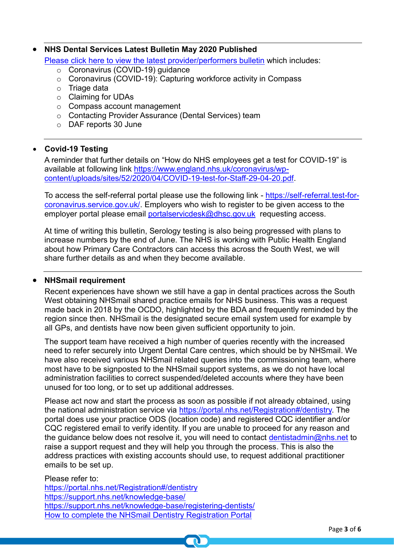## • **NHS Dental Services Latest Bulletin May 2020 Published**

[Please click here to view the latest provider/performers bulletin](https://www.nhsbsa.nhs.uk/sites/default/files/2020-05/Dentist_bulletin_England_May_2020.pdf) which includes:

- o Coronavirus (COVID-19) guidance
- o Coronavirus (COVID-19): Capturing workforce activity in Compass
- o Triage data
- o Claiming for UDAs
- o Compass account management
- o Contacting Provider Assurance (Dental Services) team
- o DAF reports 30 June

#### • **Covid-19 Testing**

A reminder that further details on "How do NHS employees get a test for COVID-19" is available at following link [https://www.england.nhs.uk/coronavirus/wp](https://www.england.nhs.uk/coronavirus/wp-content/uploads/sites/52/2020/04/COVID-19-test-for-Staff-29-04-20.pdf)[content/uploads/sites/52/2020/04/COVID-19-test-for-Staff-29-04-20.pdf.](https://www.england.nhs.uk/coronavirus/wp-content/uploads/sites/52/2020/04/COVID-19-test-for-Staff-29-04-20.pdf)

To access the self-referral portal please use the following link - [https://self-referral.test-for](https://self-referral.test-for-coronavirus.service.gov.uk/)[coronavirus.service.gov.uk/.](https://self-referral.test-for-coronavirus.service.gov.uk/) Employers who wish to register to be given access to the employer portal please email [portalservicdesk@dhsc.gov.uk](mailto:portalservicdesk@dhsc.gov.uk) requesting access.

At time of writing this bulletin, Serology testing is also being progressed with plans to increase numbers by the end of June. The NHS is working with Public Health England about how Primary Care Contractors can access this across the South West, we will share further details as and when they become available.

#### • **NHSmail requirement**

Recent experiences have shown we still have a gap in dental practices across the South West obtaining NHSmail shared practice emails for NHS business. This was a request made back in 2018 by the OCDO, highlighted by the BDA and frequently reminded by the region since then. NHSmail is the designated secure email system used for example by all GPs, and dentists have now been given sufficient opportunity to join.

The support team have received a high number of queries recently with the increased need to refer securely into Urgent Dental Care centres, which should be by NHSmail. We have also received various NHSmail related queries into the commissioning team, where most have to be signposted to the NHSmail support systems, as we do not have local administration facilities to correct suspended/deleted accounts where they have been unused for too long, or to set up additional addresses.

Please act now and start the process as soon as possible if not already obtained, using the national administration service via [https://portal.nhs.net/Registration#/dentistry.](https://portal.nhs.net/Registration#/dentistry) The portal does use your practice ODS (location code) and registered CQC identifier and/or CQC registered email to verify identity. If you are unable to proceed for any reason and the guidance below does not resolve it, you will need to contact [dentistadmin@nhs.net](mailto:dentistadmin@nhs.net) to raise a support request and they will help you through the process. This is also the address practices with existing accounts should use, to request additional practitioner emails to be set up.

Please refer to: <https://portal.nhs.net/Registration#/dentistry> <https://support.nhs.net/knowledge-base/> <https://support.nhs.net/knowledge-base/registering-dentists/> [How to complete the NHSmail Dentistry Registration Portal](https://s3-eu-west-1.amazonaws.com/comms-mat/Training-Materials/Guidance/HowtocompletetheNHSmailDentistryRegistrationPortal.pdf)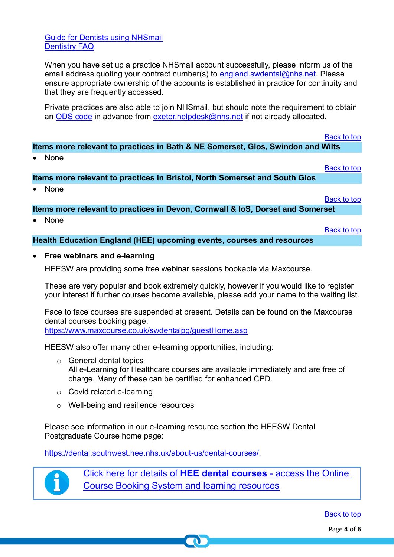[Guide for Dentists using NHSmail](https://comms-mat.s3-eu-west-1.amazonaws.com/Training-Materials/Guidance/NHSmail+guide+for+NAS+managed+organisations.pdf) [Dentistry FAQ](https://support.nhs.net/knowledge-base/nhsmail-pods-faqs/)

When you have set up a practice NHSmail account successfully, please inform us of the email address quoting your contract number(s) to [england.swdental@nhs.net.](mailto:england.swdental@nhs.net) Please ensure appropriate ownership of the accounts is established in practice for continuity and that they are frequently accessed.

Private practices are also able to join NHSmail, but should note the requirement to obtain an [ODS code](https://odsportal.hscic.gov.uk/) in advance from [exeter.helpdesk@nhs.net](mailto:exeter.helpdesk@nhs.net) if not already allocated.

<span id="page-3-0"></span>**Items more relevant to practices in Bath & NE Somerset, Glos, Swindon and Wilts**

• None

<span id="page-3-1"></span>**Items more relevant to practices in Bristol, North Somerset and South Glos**

• None

<span id="page-3-2"></span>**Items more relevant to practices in Devon, Cornwall & IoS, Dorset and Somerset**

• None

**Health Education England (HEE) upcoming events, courses and resources**

• **Free webinars and e-learning**

HEESW are providing some free webinar sessions bookable via Maxcourse.

These are very popular and book extremely quickly, however if you would like to register your interest if further courses become available, please add your name to the waiting list.

Face to face courses are suspended at present. Details can be found on the Maxcourse dental courses booking page:

<https://www.maxcourse.co.uk/swdentalpg/guestHome.asp>

HEESW also offer many other e-learning opportunities, including:

- o General dental topics All e-Learning for Healthcare courses are available immediately and are free of charge. Many of these can be certified for enhanced CPD.
- o Covid related e-learning
- o Well-being and resilience resources

Please see information in our e-learning resource section the HEESW Dental Postgraduate Course home page:

[https://dental.southwest.hee.nhs.uk/about-us/dental-courses/.](https://dental.southwest.hee.nhs.uk/about-us/dental-courses/)



[Click here for details of](http://www.dental.southwest.hee.nhs.uk/about-us/dental-courses/) **HEE dental courses** - access the Online [Course Booking System and learning resources](http://www.dental.southwest.hee.nhs.uk/about-us/dental-courses/)

[Back to top](#page-0-0)

[Back to top](#page-0-0)

[Back to top](#page-0-0)

[Back to top](#page-0-0)

[Back to top](#page-0-0)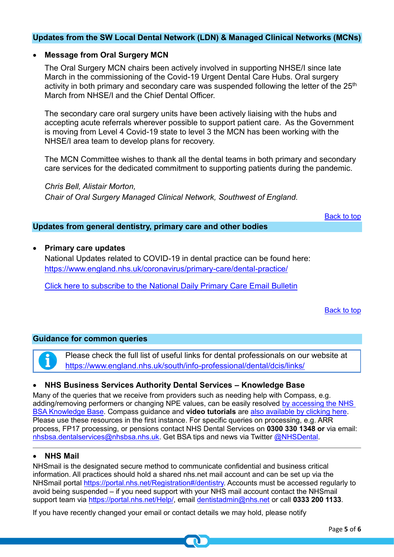#### <span id="page-4-0"></span>**Updates from the SW Local Dental Network (LDN) & Managed Clinical Networks (MCNs)**

#### • **Message from Oral Surgery MCN**

The Oral Surgery MCN chairs been actively involved in supporting NHSE/I since late March in the commissioning of the Covid-19 Urgent Dental Care Hubs. Oral surgery activity in both primary and secondary care was suspended following the letter of the 25<sup>th</sup> March from NHSE/I and the Chief Dental Officer.

The secondary care oral surgery units have been actively liaising with the hubs and accepting acute referrals wherever possible to support patient care. As the Government is moving from Level 4 Covid-19 state to level 3 the MCN has been working with the NHSE/I area team to develop plans for recovery.

The MCN Committee wishes to thank all the dental teams in both primary and secondary care services for the dedicated commitment to supporting patients during the pandemic.

*Chris Bell, Alistair Morton,* 

*Chair of Oral Surgery Managed Clinical Network, Southwest of England.*

[Back to top](#page-0-0)

#### **Updates from general dentistry, primary care and other bodies**

• **Primary care updates** National Updates related to COVID-19 in dental practice can be found here: <https://www.england.nhs.uk/coronavirus/primary-care/dental-practice/>

[Click here to subscribe to the National Daily Primary Care Email Bulletin](https://www.england.nhs.uk/email-bulletins/primary-care-bulletin/)

[Back to top](#page-0-0)

#### <span id="page-4-1"></span>**Guidance for common queries**

Please check the full list of useful links for dental professionals on our website at <https://www.england.nhs.uk/south/info-professional/dental/dcis/links/>

#### • **NHS Business Services Authority Dental Services – Knowledge Base**

Many of the queries that we receive from providers such as needing help with Compass, e.g. adding/removing performers or changing NPE values, can be easily resolved [by accessing the NHS](https://contactcentreservices.nhsbsa.nhs.uk/selfnhsukokb/AskUs_Dental/en-gb/9689/nhs-dental-services/)  [BSA Knowledge Base.](https://contactcentreservices.nhsbsa.nhs.uk/selfnhsukokb/AskUs_Dental/en-gb/9689/nhs-dental-services/) Compass guidance and **video tutorials** are [also available by clicking here.](https://www.nhsbsa.nhs.uk/compass/guidance-and-tutorials) Please use these resources in the first instance. For specific queries on processing, e.g. ARR process, FP17 processing, or pensions contact NHS Dental Services on **0300 330 1348 or** via email: [nhsbsa.dentalservices@nhsbsa.nhs.uk.](mailto:nhsbsa.dentalservices@nhsbsa.nhs.uk) Get BSA tips and news via Twitter [@NHSDental.](https://twitter.com/NHSDental)

#### • **NHS Mail**

NHSmail is the designated secure method to communicate confidential and business critical information. All practices should hold a shared nhs.net mail account and can be set up via the NHSmail portal [https://portal.nhs.net/Registration#/dentistry.](https://portal.nhs.net/Registration#/dentistry) Accounts must be accessed regularly to avoid being suspended – if you need support with your NHS mail account contact the NHSmail support team via [https://portal.nhs.net/Help/,](https://portal.nhs.net/Help/) email [dentistadmin@nhs.net](mailto:dentistadmin@nhs.net) or call **0333 200 1133**.

If you have recently changed your email or contact details we may hold, please notify